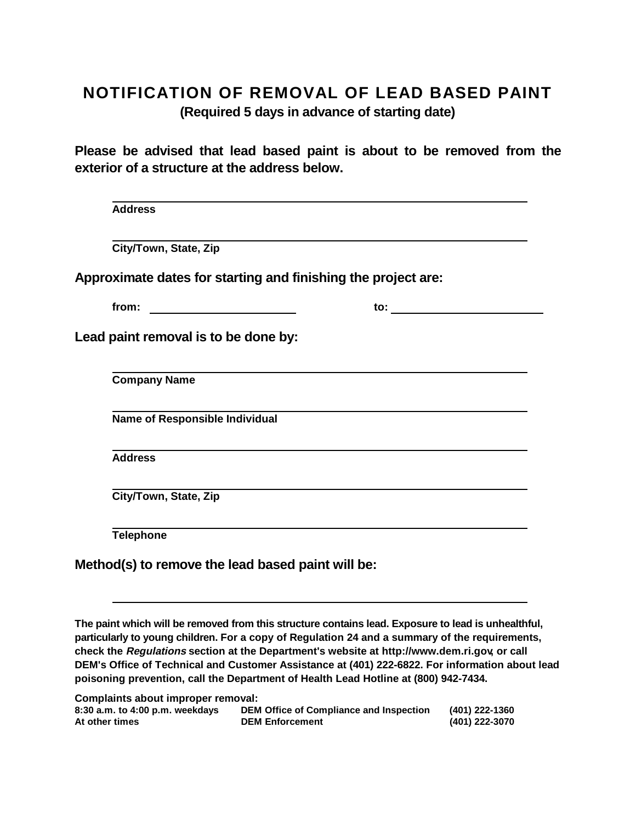## **NOTIFICATION OF REMOVAL OF LEAD BASED PAINT**

**(Required 5 days in advance of starting date)**

**Please be advised that lead based paint is about to be removed from the exterior of a structure at the address below.**

| City/Town, State, Zip                                         |                     |
|---------------------------------------------------------------|---------------------|
| Approximate dates for starting and finishing the project are: |                     |
|                                                               | to: $\qquad \qquad$ |
| Lead paint removal is to be done by:                          |                     |
| <b>Company Name</b>                                           |                     |
| Name of Responsible Individual                                |                     |
| <b>Address</b>                                                |                     |
| City/Town, State, Zip                                         |                     |
|                                                               |                     |

**The paint which will be removed from this structure contains lead. Exposure to lead is unhealthful, particularly to young children. For a copy of Regulation 24 and a summary of the requirements, check the Regulations section at the Department's website at http://www.dem.ri.gov, or call DEM's Office of Technical and Customer Assistance at (401) 222-6822. For information about lead poisoning prevention, call the Department of Health Lead Hotline at (800) 942-7434.**

| Complaints about improper removal:  |                                         |                |  |
|-------------------------------------|-----------------------------------------|----------------|--|
| $8:30$ a.m. to $4:00$ p.m. weekdays | DEM Office of Compliance and Inspection | (401) 222-1360 |  |
| At other times                      | <b>DEM Enforcement</b>                  | (401) 222-3070 |  |